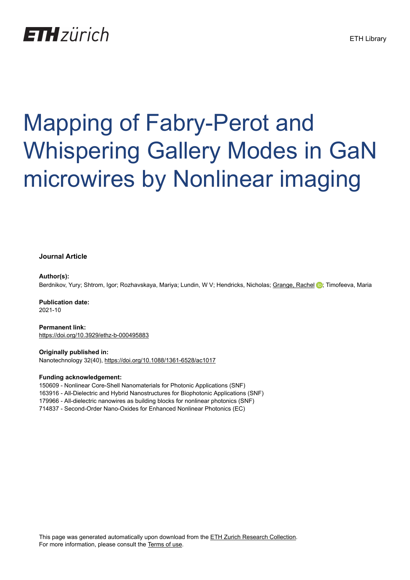## **ETH** zürich

# Mapping of Fabry-Perot and Whispering Gallery Modes in GaN microwires by Nonlinear imaging

#### **Journal Article**

#### **Author(s):**

Berdnikov, Yury; Shtrom, Igor; Rozhavskaya, Mariya; Lundin, W V; Hendricks, Nicholas; [Grange, Rachel](https://orcid.org/0000-0001-7469-9756) D; Timofeeva, Maria

**Publication date:** 2021-10

**Permanent link:** <https://doi.org/10.3929/ethz-b-000495883>

**Originally published in:** Nanotechnology 32(40), <https://doi.org/10.1088/1361-6528/ac1017>

#### **Funding acknowledgement:**

150609 - Nonlinear Core-Shell Nanomaterials for Photonic Applications (SNF) 163916 - All-Dielectric and Hybrid Nanostructures for Biophotonic Applications (SNF) 179966 - All-dielectric nanowires as building blocks for nonlinear photonics (SNF) 714837 - Second-Order Nano-Oxides for Enhanced Nonlinear Photonics (EC)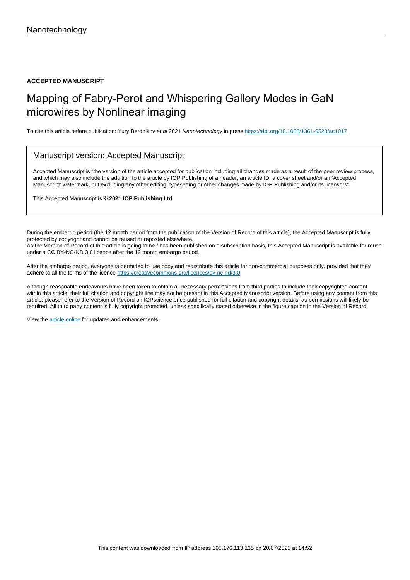**ACCEPTED MANUSCRIPT**

### Mapping of Fabry-Perot and Whispering Gallery Modes in GaN microwires by Nonlinear imaging

To cite this article before publication: Yury Berdnikov et al 2021 Nanotechnology in press <https://doi.org/10.1088/1361-6528/ac1017>

#### Manuscript version: Accepted Manuscript

Accepted Manuscript is "the version of the article accepted for publication including all changes made as a result of the peer review process, and which may also include the addition to the article by IOP Publishing of a header, an article ID, a cover sheet and/or an 'Accepted Manuscript' watermark, but excluding any other editing, typesetting or other changes made by IOP Publishing and/or its licensors"

This Accepted Manuscript is **© 2021 IOP Publishing Ltd**.

During the embargo period (the 12 month period from the publication of the Version of Record of this article), the Accepted Manuscript is fully protected by copyright and cannot be reused or reposted elsewhere. As the Version of Record of this article is going to be / has been published on a subscription basis, this Accepted Manuscript is available for reuse under a CC BY-NC-ND 3.0 licence after the 12 month embargo period.

After the embargo period, everyone is permitted to use copy and redistribute this article for non-commercial purposes only, provided that they adhere to all the terms of the licence <https://creativecommons.org/licences/by-nc-nd/3.0>

Although reasonable endeavours have been taken to obtain all necessary permissions from third parties to include their copyrighted content within this article, their full citation and copyright line may not be present in this Accepted Manuscript version. Before using any content from this article, please refer to the Version of Record on IOPscience once published for full citation and copyright details, as permissions will likely be required. All third party content is fully copyright protected, unless specifically stated otherwise in the figure caption in the Version of Record.

View the [article online](https://doi.org/10.1088/1361-6528/ac1017) for updates and enhancements.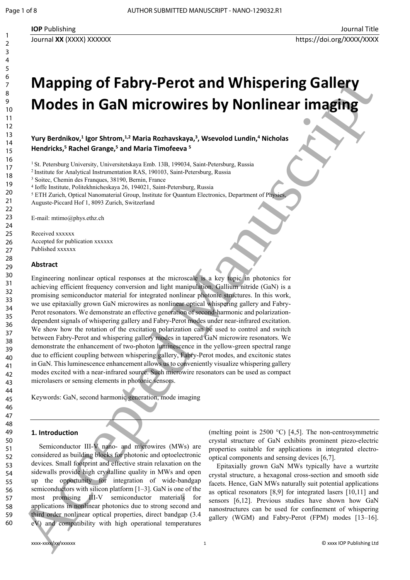## **Mapping of Fabry-Perot and Whispering Gallery Modes in GaN microwires by Nonlinear imaging**

**Yury Berdnikov,<sup>1</sup> Igor Shtrom,1,2 Maria Rozhavskaya,<sup>3</sup> , Wsevolod Lundin,<sup>4</sup> Nicholas Hendricks,<sup>5</sup> Rachel Grange,<sup>5</sup> and Maria Timofeeva <sup>5</sup>**

<sup>1</sup> St. Petersburg University, Universitetskaya Emb. 13B, 199034, Saint-Petersburg, Russia

<sup>2</sup>Institute for Analytical Instrumentation RAS, 190103, Saint-Petersburg, Russia

3 Soitec, Chemin des Franques, 38190, Bernin, France

4 Ioffe Institute, Politekhnicheskaya 26, 194021, Saint-Petersburg, Russia

<sup>5</sup> ETH Zurich, Optical Nanomaterial Group, Institute for Quantum Electronics, Department of Physics,

Auguste-Piccard Hof 1, 8093 Zurich, Switzerland

E-mail: mtimo@phys.ethz.ch

Received xxxxxx Accepted for publication xxxxxx Published xxxxxx

#### **Abstract**

Engineering nonlinear optical responses at the microscale is a key topic in photonics for achieving efficient frequency conversion and light manipulation. Gallium nitride (GaN) is a promising semiconductor material for integrated nonlinear photonic structures. In this work, we use epitaxially grown GaN microwires as nonlinear optical whispering gallery and Fabry-Perot resonators. We demonstrate an effective generation of second-harmonic and polarizationdependent signals of whispering gallery and Fabry-Perot modes under near-infrared excitation. We show how the rotation of the excitation polarization can be used to control and switch between Fabry-Perot and whispering gallery modes in tapered GaN microwire resonators. We demonstrate the enhancement of two-photon luminescence in the yellow-green spectral range due to efficient coupling between whispering gallery, Fabry-Perot modes, and excitonic states in GaN. This luminescence enhancement allows us to conveniently visualize whispering gallery modes excited with a near-infrared source. Such microwire resonators can be used as compact microlasers or sensing elements in photonic sensors. 60 Accepted Manuscript

Keywords: GaN, second harmonic generation, mode imaging

#### **1. Introduction**

Semiconductor III-V nano- and microwires (MWs) are considered as building blocks for photonic and optoelectronic devices. Small footprint and effective strain relaxation on the sidewalls provide high crystalline quality in MWs and open up the opportunity for integration of wide-bandgap semiconductors with silicon platform [1–3]. GaN is one of the most promising III-V semiconductor materials for applications in nonlinear photonics due to strong second and third order nonlinear optical properties, direct bandgap (3.4 eV) and compatibility with high operational temperatures

(melting point is 2500  $^{\circ}$ C) [4,5]. The non-centrosymmetric crystal structure of GaN exhibits prominent piezo-electric properties suitable for applications in integrated electrooptical components and sensing devices [6,7].

Epitaxially grown GaN MWs typically have a wurtzite crystal structure, a hexagonal cross-section and smooth side facets. Hence, GaN MWs naturally suit potential applications as optical resonators [8,9] for integrated lasers [10,11] and sensors [6,12]. Previous studies have shown how GaN nanostructures can be used for confinement of whispering gallery (WGM) and Fabry-Perot (FPM) modes [13–16].

58 59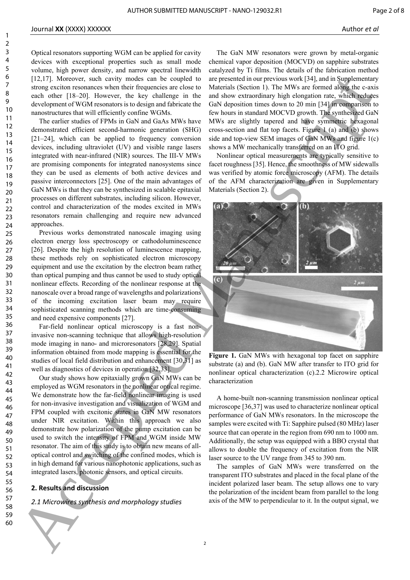#### Journal **XX** (XXXX) XXXXXX Author *et al*

Optical resonators supporting WGM can be applied for cavity devices with exceptional properties such as small mode volume, high power density, and narrow spectral linewidth [12,17]. Moreover, such cavity modes can be coupled to strong exciton resonances when their frequencies are close to each other [18–20]. However, the key challenge in the development of WGM resonators is to design and fabricate the nanostructures that will efficiently confine WGMs.

The earlier studies of FPMs in GaN and GaAs MWs have demonstrated efficient second-harmonic generation (SHG) [21–24], which can be applied to frequency conversion devices, including ultraviolet (UV) and visible range lasers integrated with near-infrared (NIR) sources. The III-V MWs are promising components for integrated nanosystems since they can be used as elements of both active devices and passive interconnectors [25]. One of the main advantages of GaN MWs is that they can be synthesized in scalable epitaxial processes on different substrates, including silicon. However, control and characterization of the modes excited in MWs resonators remain challenging and require new advanced approaches.

Previous works demonstrated nanoscale imaging using electron energy loss spectroscopy or cathodoluminescence [26]. Despite the high resolution of luminescence mapping, these methods rely on sophisticated electron microscopy equipment and use the excitation by the electron beam rather than optical pumping and thus cannot be used to study optical nonlinear effects. Recording of the nonlinear response at the nanoscale over a broad range of wavelengths and polarizations of the incoming excitation laser beam may require sophisticated scanning methods which are time-consuming and need expensive components [27].

Far-field nonlinear optical microscopy is a fast noninvasive non-scanning technique that allows high-resolution mode imaging in nano- and microresonators [28,29]. Spatial information obtained from mode mapping is essential for the studies of local field distribution and enhancement [30,31] as well as diagnostics of devices in operation [32,33].

Our study shows how epitaxially grown GaN MWs can be employed as WGM resonators in the nonlinear optical regime. We demonstrate how the far-field nonlinear imaging is used for non-invasive investigation and visualization of WGM and FPM coupled with excitonic states in GaN MW resonators under NIR excitation. Within this approach we also demonstrate how polarization of the pump excitation can be used to switch the intensity of FPM and WGM inside MW resonator. The aim of this study is to obtain new means of alloptical control and switching of the confined modes, which is in high demand for various nanophotonic applications, such as integrated lasers, photonic sensors, and optical circuits.

#### **2. Results and discussion**

*2.1 Microwires synthesis and morphology studies*

The GaN MW resonators were grown by metal-organic chemical vapor deposition (MOCVD) on sapphire substrates catalyzed by Ti films. The details of the fabrication method are presented in our previous work [34], and in Supplementary Materials (Section 1). The MWs are formed along the c-axis and show extraordinary high elongation rate, which reduces GaN deposition times down to 20 min [34] in comparison to few hours in standard MOCVD growth. The synthesized GaN MWs are slightly tapered and have symmetric hexagonal cross-section and flat top facets. Figure 1 (a) and (b) shows side and top-view SEM images of GaN MWs and figure 1(c) shows a MW mechanically transferred on an ITO grid.

Nonlinear optical measurements are typically sensitive to facet roughness [35]. Hence, the smoothness of MW sidewalls was verified by atomic force microscopy (AFM). The details of the AFM characterization are given in Supplementary Materials (Section 2).



**Figure 1.** GaN MWs with hexagonal top facet on sapphire substrate (a) and (b). GaN MW after transfer to ITO grid for nonlinear optical characterization (c).2.2 Microwire optical characterization

A home-built non-scanning transmission nonlinear optical microscope [36,37] was used to characterize nonlinear optical performance of GaN MWs resonators. In the microscope the samples were excited with Ti: Sapphire pulsed (80 MHz) laser source that can operate in the region from 690 nm to 1000 nm. Additionally, the setup was equipped with a BBO crystal that allows to double the frequency of excitation from the NIR laser source to the UV range from 345 to 390 nm.

The samples of GaN MWs were transferred on the transparent ITO substrates and placed in the focal plane of the incident polarized laser beam. The setup allows one to vary the polarization of the incident beam from parallel to the long axis of the MW to perpendicular to it. In the output signal, we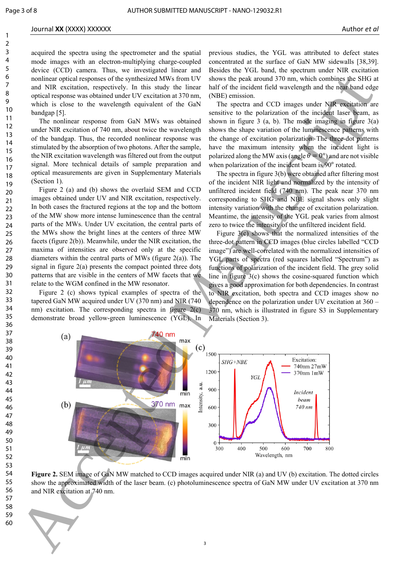1

#### Journal **XX** (XXXX) XXXXXX Author *et al*

acquired the spectra using the spectrometer and the spatial mode images with an electron-multiplying charge-coupled device (CCD) camera. Thus, we investigated linear and nonlinear optical responses of the synthesized MWs from UV and NIR excitation, respectively. In this study the linear optical response was obtained under UV excitation at 370 nm, which is close to the wavelength equivalent of the GaN bandgap [5].

The nonlinear response from GaN MWs was obtained under NIR excitation of 740 nm, about twice the wavelength of the bandgap. Thus, the recorded nonlinear response was stimulated by the absorption of two photons. After the sample, the NIR excitation wavelength was filtered out from the output signal. More technical details of sample preparation and optical measurements are given in Supplementary Materials (Section 1).

Figure 2 (a) and (b) shows the overlaid SEM and CCD images obtained under UV and NIR excitation, respectively. In both cases the fractured regions at the top and the bottom of the MW show more intense luminescence than the central parts of the MWs. Under UV excitation, the central parts of the MWs show the bright lines at the centers of three MW facets (figure 2(b)). Meanwhile, under the NIR excitation, the maxima of intensities are observed only at the specific diameters within the central parts of MWs (figure 2(a)). The signal in figure 2(a) presents the compact pointed three dots patterns that are visible in the centers of MW facets that we relate to the WGM confined in the MW resonator.

Figure 2 (c) shows typical examples of spectra of the tapered GaN MW acquired under UV (370 nm) and NIR (740 nm) excitation. The corresponding spectra in figure 2(c) demonstrate broad yellow-green luminescence (YGL). In previous studies, the YGL was attributed to defect states concentrated at the surface of GaN MW sidewalls [38,39]. Besides the YGL band, the spectrum under NIR excitation shows the peak around 370 nm, which combines the SHG at half of the incident field wavelength and the near band edge (NBE) emission.

The spectra and CCD images under NIR excitation are sensitive to the polarization of the incident laser beam, as shown in figure 3  $(a, b)$ . The mode imaging in figure  $3(a)$ shows the shape variation of the luminescence patterns with the change of excitation polarization. The three-dot patterns have the maximum intensity when the incident light is polarized along the MW axis (angle  $\theta = 0^{\circ}$ ) and are not visible when polarization of the incident beam is  $90^{\circ}$  rotated.

The spectra in figure 3(b) were obtained after filtering most of the incident NIR light and normalized by the intensity of unfiltered incident field (740 nm). The peak near 370 nm corresponding to SHG and NBE signal shows only slight intensity variation with the change of excitation polarization. Meantime, the intensity of the YGL peak varies from almost zero to twice the intensity of the unfiltered incident field.

Figure 3(c) shows that the normalized intensities of the three-dot pattern in CCD images (blue circles labelled "CCD image") are well-correlated with the normalized intensities of YGL parts of spectra (red squares labelled "Spectrum") as functions of polarization of the incident field. The grey solid line in figure  $3(c)$  shows the cosine-squared function which gives a good approximation for both dependencies. In contrast to NIR excitation, both spectra and CCD images show no dependence on the polarization under UV excitation at 360 – 370 nm, which is illustrated in figure S3 in Supplementary Materials (Section 3).



**Figure 2.** SEM image of GaN MW matched to CCD images acquired under NIR (a) and UV (b) excitation. The dotted circles show the approximated width of the laser beam. (c) photoluminescence spectra of GaN MW under UV excitation at 370 nm and NIR excitation at 740 nm.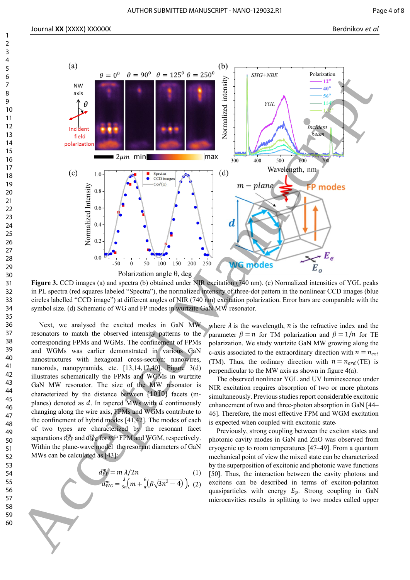

**Figure 3.** CCD images (a) and spectra (b) obtained under NIR excitation (740 nm). (c) Normalized intensities of YGL peaks in PL spectra (red squares labeled "Spectra"), the normalized intensity of three-dot pattern in the nonlinear CCD images (blue circles labelled "CCD image") at different angles of NIR (740 nm) excitation polarization. Error bars are comparable with the symbol size. (d) Schematic of WG and FP modes in wurtzite GaN MW resonator.

Next, we analysed the excited modes in GaN MW resonators to match the observed intensity patterns to the corresponding FPMs and WGMs. The confinement of FPMs and WGMs was earlier demonstrated in various GaN nanostructures with hexagonal cross-section: nanowires, nanorods, nanopyramids, etc. [13,14,17,40]. Figure 3(d) illustrates schematically the FPMs and WGMs in wurtzite GaN MW resonator. The size of the MW resonator is characterized by the distance between  $\{1010\}$  facets (mplanes) denoted as  $d$ . In tapered MWs with  $d$  continuously changing along the wire axis, FPMs and WGMs contribute to the confinement of hybrid modes [41,42]. The modes of each of two types are characterized by the resonant facet separations  $d_{FP}^m$  and  $d_{WG}^m$  for  $m^{\text{th}}$  FPM and WGM, respectively. Within the plane-wave model the resonant diameters of GaN MWs can be calculated as [43]:

$$
d_{FP}^{m} = m \lambda / 2n
$$
 (1)  

$$
d_{WG}^{m} = \frac{\lambda}{3n} \left( m + \frac{6}{\pi} (\beta \sqrt{3n^{2} - 4}) \right),
$$
 (2)

where  $\lambda$  is the wavelength, n is the refractive index and the parameter  $\beta = n$  for TM polarization and  $\beta = 1/n$  for TE polarization. We study wurtzite GaN MW growing along the c-axis associated to the extraordinary direction with  $n = n_{ext}$ (TM). Thus, the ordinary direction with  $n = n_{ord}$  (TE) is perpendicular to the MW axis as shown in figure 4(a).

The observed nonlinear YGL and UV luminescence under NIR excitation requires absorption of two or more photons simultaneously. Previous studies report considerable excitonic enhancement of two and three-photon absorption in GaN [44– 46]. Therefore, the most effective FPM and WGM excitation is expected when coupled with excitonic state .

Previously, strong coupling between the exciton states and photonic cavity modes in GaN and ZnO was observed from cryogenic up to room temperatures [47–49]. From a quantum mechanical point of view the mixed state can be characterized by the superposition of excitonic and photonic wave functions [50]. Thus, the interaction between the cavity photons and excitons can be described in terms of exciton-polariton quasiparticles with energy  $E_p$ . Strong coupling in GaN microcavities results in splitting to two modes called upper

1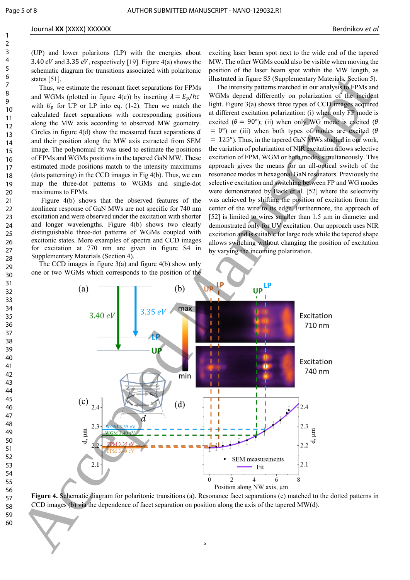(UP) and lower polaritons (LP) with the energies about 3.40 eV and 3.35 eV, respectively [19]. Figure 4(a) shows the schematic diagram for transitions associated with polaritonic states [51].

Thus, we estimate the resonant facet separations for FPMs and WGMs (plotted in figure 4(c)) by inserting  $\lambda = E_p/hc$ with  $E_p$  for UP or LP into eq. (1-2). Then we match the calculated facet separations with corresponding positions along the MW axis according to observed MW geometry. Circles in figure  $4(d)$  show the measured facet separations  $d$ and their position along the MW axis extracted from SEM image. The polynomial fit was used to estimate the positions of FPMs and WGMs positions in the tapered GaN MW. These estimated mode positions match to the intensity maximums (dots patterning) in the CCD images in Fig 4(b). Thus, we can map the three-dot patterns to WGMs and single-dot maximums to FPMs.

Figure 4(b) shows that the observed features of the nonlinear response of GaN MWs are not specific for 740 nm excitation and were observed under the excitation with shorter and longer wavelengths. Figure 4(b) shows two clearly distinguishable three-dot patterns of WGMs coupled with excitonic states. More examples of spectra and CCD images for excitation at 770 nm are given in figure S4 in Supplementary Materials (Section 4).

The CCD images in figure 3(a) and figure 4(b) show only one or two WGMs which corresponds to the position of the exciting laser beam spot next to the wide end of the tapered MW. The other WGMs could also be visible when moving the position of the laser beam spot within the MW length, as illustrated in figure S5 (Supplementary Materials, Section 5).

The intensity patterns matched in our analysis to FPMs and WGMs depend differently on polarization of the incident light. Figure 3(a) shows three types of CCD images acquired at different excitation polarization: (i) when only FP mode is excited ( $\theta = 90^{\circ}$ ); (ii) when only WG mode is excited ( $\theta$  $= 0^{\circ}$ ) or (iii) when both types of modes are excited ( $\theta$ = 125°). Thus, in the tapered GaN MWs studied in our work, the variation of polarization of NIR excitation allows selective excitation of FPM, WGM or both modes simultaneously. This approach gives the means for an all-optical switch of the resonance modes in hexagonal GaN resonators. Previously the selective excitation and switching between FP and WG modes were demonstrated by Baek et al. [52] where the selectivity was achieved by shifting the position of excitation from the center of the wire to its edge. Furthermore, the approach of [52] is limited to wires smaller than 1.5 µm in diameter and demonstrated only for UV excitation. Our approach uses NIR excitation and is suitable for large rods while the tapered shape allows switching without changing the position of excitation by varying the incoming polarization.



**Figure 4.** Schematic diagram for polaritonic transitions (a). Resonance facet separations (c) matched to the dotted patterns in CCD images (b) via the dependence of facet separation on position along the axis of the tapered MW(d).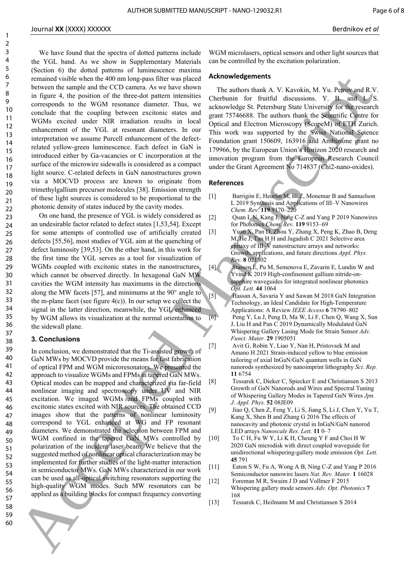#### Journal **XX** (XXXX) XXXXXX Berdnikov *et al*

We have found that the spectra of dotted patterns include the YGL band. As we show in Supplementary Materials (Section 6) the dotted patterns of luminescence maxima remained visible when the 400 nm long-pass filter was placed between the sample and the CCD camera. As we have shown in figure 4, the position of the three-dot pattern intensities corresponds to the WGM resonance diameter. Thus, we conclude that the coupling between excitonic states and WGMs excited under NIR irradiation results in local enhancement of the YGL at resonant diameters. In our interpretation we assume Purcell enhancement of the defectrelated yellow-green luminescence. Each defect in GaN is introduced either by Ga-vacancies or C incorporation at the surface of the microwire sidewalls is considered as a compact light source. C-related defects in GaN nanostructures grown via a MOCVD process are known to originate from trimethylgallium precursor molecules [38]. Emission strength of these light sources is considered to be proportional to the photonic density of states induced by the cavity modes.

On one hand, the presence of YGL is widely considered as an undesirable factor related to defect states [1,53,54]. Except for some attempts of controlled use of artificially created defects [55,56], most studies of YGL aim at the quenching of defect luminosity [39,53]. On the other hand, in this work for the first time the YGL serves as a tool for visualization of WGMs coupled with excitonic states in the nanostructures, which cannot be observed directly. In hexagonal GaN MW cavities the WGM intensity has maximums in the directions along the MW facets [57], and minimums at the 90° angle to the m-plane facet (see figure  $4(c)$ ). In our setup we collect the signal in the latter direction, meanwhile, the YGL enhanced by WGM allows its visualization at the normal orientation to the sidewall plane.

#### **3. Conclusions**

In conclusion, we demonstrated that the Ti-assisted growth of GaN MWs by MOCVD provide the means for fast fabrication of optical FPM and WGM microresonators. We presented the approach to visualize WGMs and FPMs in tapered GaN MWs. Optical modes can be mapped and characterized via far-field nonlinear imaging and spectroscopy under UV and NIR excitation. We imaged WGMs and FPMs coupled with excitonic states excited with NIR sources. The obtained CCD images show that the patterns of nonlinear luminosity correspond to YGL enhanced at WG and FP resonant diameters. We demonstrated the selection between FPM and WGM confined in the tapered GaN MWs controlled by polarization of the incident laser beam. We believe that the suggested method of nonlinear optical characterization may be implemented for further studies of the light-matter interaction in semiconductor MWs. GaN MWs characterized in our work can be used as all-optical switching resonators supporting the high-quality WGM modes. Such MW resonators can be applied as a building blocks for compact frequency converting 60 Accepted to the Manuscript Conservation of the Manuscript Conservation of the Manuscript Conservation of the Manuscript Conservation of the Manuscript Conservation of the Manuscript Conservation of the Manuscript Conse

WGM microlasers, optical sensors and other light sources that can be controlled by the excitation polarization.

#### **Acknowledgements**

The authors thank A. V. Kavokin, M. Yu. Petrov and R.V. Cherbunin for fruitful discussions. Y. B. and I. S. acknowledge St. Petersburg State University for the research grant 75746688. The authors thank the Scientific Centre for Optical and Electron Microscopy (ScopeM) of ETH Zurich. This work was supported by the Swiss National Science Foundation grant 150609, 163916 and Ambizione grant no 179966, by the European Union's Horizon 2020 research and innovation program from the European Research Council under the Grant Agreement No 714837 (Chi2-nano-oxides).

#### **References**

- [1] Barrigón E, Heurlin M, Bi Z, Monemar B and Samuelson L 2019 Synthesis and Applications of III–V Nanowires *Chem. Rev.* **119** 9170–220
- [2] Quan L N, Kang J, Ning C-Z and Yang P 2019 Nanowires for Photonics *Chem. Rev.* **119** 9153–69
- [3] Yuan X, Pan D, Zhou Y, Zhang X, Peng K, Zhao B, Deng M, He J, Tan H H and Jagadish C 2021 Selective area epitaxy of III–V nanostructure arrays and networks: Growth, applications, and future directions *Appl. Phys. Rev.* **8** 021302
- [4] Stassen E, Pu M, Semenova E, Zavarin E, Lundin W and Yvind K 2019 High-confinement gallium nitride-onsapphire waveguides for integrated nonlinear photonics *Opt. Lett.* **44** 1064
- [5] Hassan A, Savaria Y and Sawan M 2018 GaN Integration Technology, an Ideal Candidate for High-Temperature Applications: A Review *IEEE Access* **6** 78790–802 [6] Peng Y, Lu J, Peng D, Ma W, Li F, Chen Q, Wang X, Sun J, Liu H and Pan C 2019 Dynamically Modulated GaN Whispering Gallery Lasing Mode for Strain Sensor *Adv. Funct. Mater.* **29** 1905051
- [7] Avit G, Robin Y, Liao Y, Nan H, Pristovsek M and Amano H 2021 Strain-induced yellow to blue emission tailoring of axial InGaN/GaN quantum wells in GaN nanorods synthesized by nanoimprint lithography *Sci. Rep.* **11** 6754
- [8] Tessarek C, Dieker C, Spiecker E and Christiansen S 2013 Growth of GaN Nanorods and Wires and Spectral Tuning of Whispering Gallery Modes in Tapered GaN Wires *Jpn. J. Appl. Phys.* **52** 08JE09
- [9] Jiao Q, Chen Z, Feng Y, Li S, Jiang S, Li J, Chen Y, Yu T, Kang X, Shen B and Zhang G 2016 The effects of nanocavity and photonic crystal in InGaN/GaN nanorod LED arrays *Nanoscale Res. Lett.* **11** 0–7
- [10] To C H, Fu W Y, Li K H, Cheung Y F and Choi H W 2020 GaN microdisk with direct coupled waveguide for unidirectional whispering-gallery mode emission *Opt. Lett.* **45** 791
- [11] Eaton S W, Fu A, Wong A B, Ning C-Z and Yang P 2016 Semiconductor nanowire lasers *Nat. Rev. Mater.* **1** 16028
- [12] Foreman M R, Swaim J D and Vollmer F 2015 Whispering gallery mode sensors *Adv. Opt. Photonics* **7** 168
- [13] Tessarek C, Heilmann M and Christiansen S 2014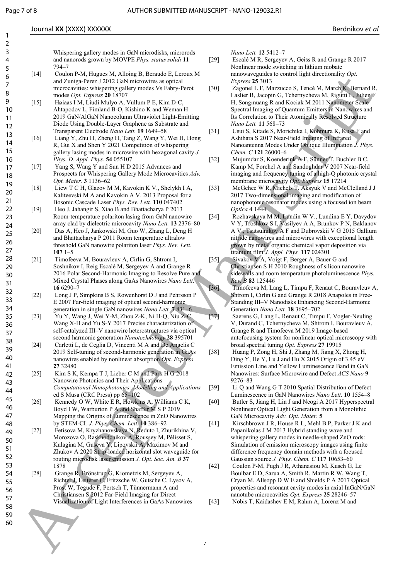1 2

#### Journal **XX** (XXXX) XXXXXX Berdnikov *et al*

Whispering gallery modes in GaN microdisks, microrods and nanorods grown by MOVPE *Phys. status solidi* **11** 794–7

- [14] Coulon P-M, Hugues M, Alloing B, Beraudo E, Leroux M and Zuniga-Perez J 2012 GaN microwires as optical microcavities: whispering gallery modes Vs Fabry-Perot modes *Opt. Express* **20** 18707
- [15] Høiaas I M, Liudi Mulyo A, Vullum P E, Kim D-C, Ahtapodov L, Fimland B-O, Kishino K and Weman H 2019 GaN/AlGaN Nanocolumn Ultraviolet Light-Emitting Diode Using Double-Layer Graphene as Substrate and Transparent Electrode *Nano Lett.* **19** 1649–58
- [16] Liang Y, Zhu H, Zheng H, Tang Z, Wang Y, Wei H, Hong R, Gui X and Shen Y 2021 Competition of whispering gallery lasing modes in microwire with hexagonal cavity *J. Phys. D. Appl. Phys.* **54** 055107
- [17] Yang S, Wang Y and Sun H D 2015 Advances and Prospects for Whispering Gallery Mode Microcavities *Adv. Opt. Mater.* **3** 1136–62
- [18] Liew T C H, Glazov M M, Kavokin K V., Shelykh I A, Kaliteevski M A and Kavokin A V. 2013 Proposal for a Bosonic Cascade Laser *Phys. Rev. Lett.* **110** 047402
- [19] Heo J, Jahangir S, Xiao B and Bhattacharya P 2013 Room-temperature polariton lasing from GaN nanowire array clad by dielectric microcavity *Nano Lett.* **13** 2376–80
- [20] Das A, Heo J, Jankowski M, Guo W, Zhang L, Deng H and Bhattacharya P 2011 Room temperature ultralow threshold GaN nanowire polariton laser *Phys. Rev. Lett.* **107** 1–5
- [21] Timofeeva M, Bouravleuv A, Cirlin G, Shtrom I, Soshnikov I, Reig Escalé M, Sergeyev A and Grange R 2016 Polar Second-Harmonic Imaging to Resolve Pure and Mixed Crystal Phases along GaAs Nanowires *Nano Lett.* **16** 6290–7
	- [22] Long J P, Simpkins B S, Rowenhorst D J and Pehrsson P E 2007 Far-field imaging of optical second-harmonic generation in single GaN nanowires *Nano Lett.* **7** 831–6
- [23] Yu Y, Wang J, Wei Y-M, Zhou Z-K, Ni H-Q, Niu Z-C, Wang X-H and Yu S-Y 2017 Precise characterization of self-catalyzed III–V nanowire heterostructures via optical second harmonic generation *Nanotechnology* **28** 395701
	- [24] Carletti L, de Ceglia D, Vincenti M A and De Angelis C 2019 Self-tuning of second-harmonic generation in GaAs nanowires enabled by nonlinear absorption *Opt. Express* **27** 32480
- [25] Kim S K, Kempa T J, Lieber C M and Park H G 2018 Nanowire Photonics and Their Applications *Computational Nanophotonics: Modeling and Applications* ed S Musa (CRC Press) pp 65–102
	- [26] Kennedy O W, White E R, Howkins A, Williams C K, Boyd I W, Warburton P A and Shaffer M S P 2019 Mapping the Origins of Luminescence in ZnO Nanowires by STEM-CL *J. Phys. Chem. Lett.* **10** 386–92
- [27] Fetisova M, Kryzhanovskaya N, Reduto I, Zhurikhina V, Morozova O, Raskhodchikov A, Roussey M, Pélisset S, Kulagina M, Guseva Y, Lipovskii A, Maximov M and Zhukov A 2020 Strip-loaded horizontal slot waveguide for routing microdisk laser emission *J. Opt. Soc. Am. B* **37** 1878 Frame and the main of the main of the main of the main of the main of the main of the main of the main of the main of the main of the main of the main of the main of the main of the main of the main of the main of the mai
	- [28] Grange R, Brönstrup G, Kiometzis M, Sergeyev A, Richter J, Leiterer C, Fritzsche W, Gutsche C, Lysov A, Prost W, Tegude F, Pertsch T, Tünnermann A and Christiansen S 2012 Far-Field Imaging for Direct Visualization of Light Interferences in GaAs Nanowires

*Nano Lett.* **12** 5412–7

- [29] Escalé M R, Sergeyev A, Geiss R and Grange R 2017 Nonlinear mode switching in lithium niobate nanowaveguides to control light directionality *Opt. Express* **25** 3013
- [30] Zagonel L F, Mazzucco S, Tencé M, March K, Bernard R, Laslier B, Jacopin G, Tchernycheva M, Rigutti L, Julien F H, Songmuang R and Kociak M 2011 Nanometer Scale Spectral Imaging of Quantum Emitters in Nanowires and Its Correlation to Their Atomically Resolved Structure *Nano Lett.* **11** 568–73
- [31] Usui S, Kitade S, Morichika I, Kohmura K, Kusa F and Ashihara S 2017 Near-Field Imaging of Infrared Nanoantenna Modes Under Oblique Illumination *J. Phys. Chem. C* **121** 26000–6
- [32] Mujumdar S, Koenderink A F, Sünner T, Buchler B C, Kamp M, Forchel A and Sandoghdar V 2007 Near-field imaging and frequency tuning of a high-Q photonic crystal membrane microcavity *Opt. Express* **15** 17214
- [33] McGehee W R, Michels T, Aksyuk V and McClelland J J 2017 Two-dimensional imaging and modification of nanophotonic resonator modes using a focused ion beam *Optica* **4** 1444
- [34] Rozhavskaya M M, Lundin W V., Lundina E Y, Davydov V Y, Troshkov S I, Vasilyev A A, Brunkov P N, Baklanov A V., Tsatsulnikov A F and Dubrovskii V G 2015 Gallium nitride nanowires and microwires with exceptional length grown by metal organic chemical vapor deposition via titanium film *J. Appl. Phys.* **117** 024301
- [35] Sivakov V A, Voigt F, Berger A, Bauer G and Christiansen S H 2010 Roughness of silicon nanowire sidewalls and room temperature photoluminescence *Phys. Rev. B* **82** 125446
- [36] Timofeeva M, Lang L, Timpu F, Renaut C, Bouravleuv A, Shtrom I, Cirlin G and Grange R 2018 Anapoles in Free-Standing III–V Nanodisks Enhancing Second-Harmonic Generation *Nano Lett.* **18** 3695–702
- [37] Saerens G, Lang L, Renaut C, Timpu F, Vogler-Neuling V, Durand C, Tchernycheva M, Shtrom I, Bouravleuv A, Grange R and Timofeeva M 2019 Image-based autofocusing system for nonlinear optical microscopy with broad spectral tuning *Opt. Express* **27** 19915
- [38] Huang P, Zong H, Shi J, Zhang M, Jiang X, Zhong H, Ding Y, He Y, Lu J and Hu X 2015 Origin of 3.45 eV Emission Line and Yellow Luminescence Band in GaN Nanowires: Surface Microwire and Defect *ACS Nano* **9** 9276–83
- [39] Li Q and Wang G T 2010 Spatial Distribution of Defect Luminescence in GaN Nanowires *Nano Lett.* **10** 1554–8
- [40] Butler S, Jiang H, Lin J and Neogi A 2017 Hyperspectral Nonlinear Optical Light Generation from a Monolithic GaN Microcavity *Adv. Opt. Mater.* **5**
- [41] Kirschbrown J R, House R L, Mehl B P, Parker J K and Papanikolas J M 2013 Hybrid standing wave and whispering gallery modes in needle-shaped ZnO rods: Simulation of emission microscopy images using finite difference frequency domain methods with a focused Gaussian source *J. Phys. Chem. C* **117** 10653–60
- [42] Coulon P-M, Pugh J R, Athanasiou M, Kusch G, Le Boulbar E D, Sarua A, Smith R, Martin R W, Wang T, Cryan M, Allsopp D W E and Shields P A 2017 Optical properties and resonant cavity modes in axial InGaN/GaN nanotube microcavities *Opt. Express* **25** 28246–57
- [43] Nobis T, Kaidashev E M, Rahm A, Lorenz M and

59